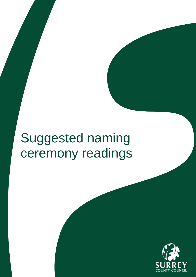# Suggested naming ceremony readings

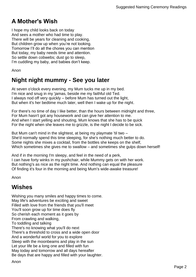# **A Mother's Wish**

I hope my child looks back on today And sees a mother who had time to play. There will be years for cleaning and cooking, But children grow up when you're not looking. Tomorrow I'll do all the chores you can mention But today, my baby needs time and attention. So settle down cobwebs; dust go to sleep, I'm cuddling my baby, and babies don't keep.

Anon

# **Night night mummy - See you later**

At seven o'clock every evening, my Mum tucks me up in my bed. I'm nice and snug in my 'jamas, beside me my faithful old Ted. I always nod off very quickly – before Mum has turned out the light, But when it's her bedtime much later, well then I wake up for the night.

For there's no time of day I like better, than the hours between midnight and three, For Mum hasn't got any housework and can give her attention to me. And when I start yelling and shouting, Mum knows that she has to be quick For the night when she leaves me to grizzle, is the night I decide to be sick.

But Mum can't mind in the slightest, at being my playmate 'til two – She'd normally spend this time sleeping, for she's nothing much better to do. Some nights she mixes a cocktail, from the bottles she keeps on the shelf, Which sometimes she gives me to swallow – and sometimes she gulps down herself!

And if in the morning I'm sleepy, and feel in the need of a perk, I can have forty winks in my pushchair, while Mummy gets on with her work. But nothing's as nice as the night time. And nothing can equal the pleasure Of finding it's four in the morning and being Mum's wide-awake treasure!

Anon

### **Wishes**

Wishing you many smiles and happy times to come. May life's adventures be exciting and sweet Filled with love from the friends that you'll meet You'll soon grow up for time does fly So cherish each moment as it goes by From crawling and walking, To toddling and talking There's no knowing what you'll do next There's a threshold to cross and a wide open door And a wonderful world for you to explore Sleep with the moonbeams and play in the sun Let your life be a long one and filled with fun May today and tomorrow and all days hereafter Be days that are happy and filled with your laughter.

Anon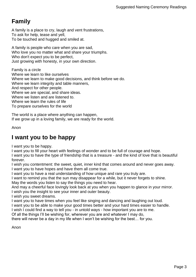# **Family**

A family is a place to cry, laugh and vent frustrations, To ask for help, tease and yell, To be touched and hugged and smiled at.

A family is people who care when you are sad, Who love you no matter what and share your triumphs. Who don't expect you to be perfect, Just growing with honesty, in your own direction.

Family is a circle Where we learn to like ourselves Where we learn to make good decisions, and think before we do. Where we learn integrity and table manners, And respect for other people. Where we are special, and share ideas. Where we listen and are listened to. Where we learn the rules of life To prepare ourselves for the world

The world is a place where anything can happen, If we grow up in a loving family, we are ready for the world.

Anon

#### **I want you to be happy**

I want you to be happy.

I want you to fill your heart with feelings of wonder and to be full of courage and hope.

I want you to have the type of friendship that is a treasure - and the kind of love that is beautiful forever.

I wish you contentment: the sweet, quiet, inner kind that comes around and never goes away. I want you to have hopes and have them all come true.

I want you to have a real understanding of how unique and rare you truly are.

I want to remind you that the sun may disappear for a while, but it never forgets to shine.

May the words you listen to say the things you need to hear.

And may a cheerful face lovingly look back at you when you happen to glance in your mirror. I wish you the insight to see your inner and outer beauty.

I wish you sweet dreams.

I want you to have times when you feel like singing and dancing and laughing out loud.

I want you to be able to make your good times better and your hard times easier to handle.

I wish I could find a way to tell you - in untold ways - how important you are to me.

Of all the things I'll be wishing for, wherever you are and whatever I may do,

there will never be a day in my life when I won't be wishing for the best… for you.

Anon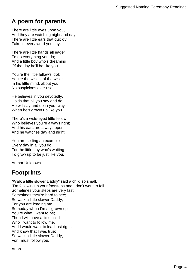## **A poem for parents**

There are little eyes upon you, And they are watching night and day; There are little ears that quickly Take in every word you say.

There are little hands all eager To do everything you do; And a little boy who's dreaming Of the day he'll be like you.

You're the little fellow's idol; You're the wisest of the wise; In his little mind, about you No suspicions ever rise.

He believes in you devotedly, Holds that all you say and do, He will say and do in your way When he's grown up like you.

There's a wide-eyed little fellow Who believes you're always right; And his ears are always open, And he watches day and night.

You are setting an example Every day in all you do; For the little boy who's waiting To grow up to be just like you.

Author Unknown

# **Footprints**

"Walk a little slower Daddy" said a child so small, "I'm following in your footsteps and I don't want to fall. Sometimes your steps are very fast, Sometimes they're hard to see; So walk a little slower Daddy, For you are leading me. Someday when I'm all grown up, You're what I want to be; Then I will have a little child Who'll want to follow me. And I would want to lead just right, And know that I was true; So walk a little slower Daddy, For I must follow you.

Anon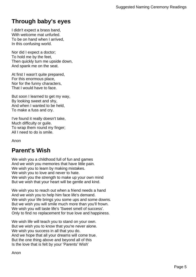# **Through baby's eyes**

I didn't expect a brass band, With welcome mat unfurled. To be on hand when I arrived, In this confusing world.

Nor did I expect a doctor; To hold me by the feet, Then quickly turn me upside down, And spank me on the seat.

At first I wasn't quite prepared, For this enormous place, Nor for the funny characters, That I would have to face.

But soon I learned to get my way, By looking sweet and shy, And when I wanted to be held, To make a fuss and cry.

I've found it really doesn't take, Much difficulty or guile. To wrap them round my finger; All I need to do is smile.

Anon

### **Parent's Wish**

We wish you a childhood full of fun and games And we wish you memories that have little pain. We wish you to learn by making mistakes. We wish you to love and never to hate. We wish you the strength to make up your own mind But we wish that your heart will be gentle and kind.

We wish you to reach out when a friend needs a hand And we wish you to help him face life's demand. We wish your life brings you some ups and some downs. But we wish you will smile much more than you'll frown. We wish you will taste life's 'Sweet smell of success'. Only to find no replacement for true love and happiness.

We wish life will teach you to stand on your own. But we wish you to know that you're never alone. We wish you success in all that you do. And we hope that all your dreams will come true. But the one thing above and beyond all of this Is the love that is felt by your 'Parents' Wish'